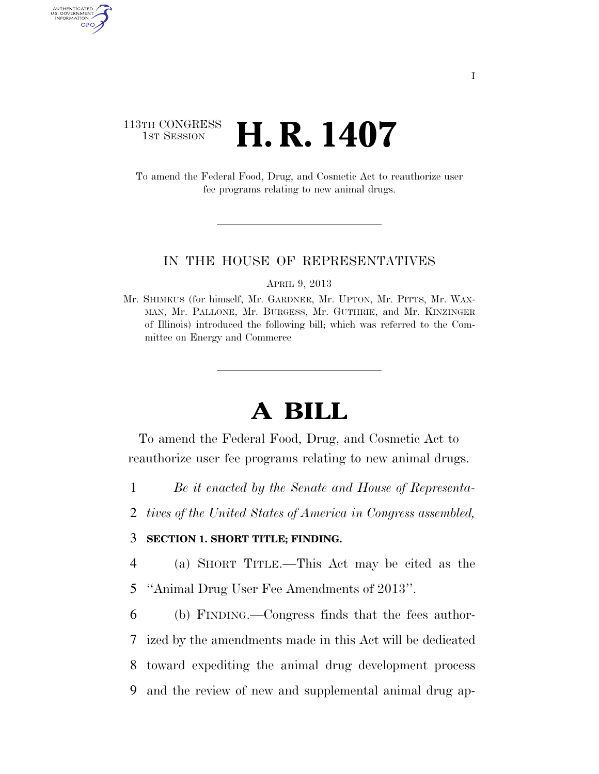### 113TH CONGRESS  $\frac{1}{15T}$  Session **H. R. 1407**

AUTHENTICATED<br>U.S. GOVERNMENT<br>INFORMATION GPO

> To amend the Federal Food, Drug, and Cosmetic Act to reauthorize user fee programs relating to new animal drugs.

#### IN THE HOUSE OF REPRESENTATIVES

APRIL 9, 2013

Mr. SHIMKUS (for himself, Mr. GARDNER, Mr. UPTON, Mr. PITTS, Mr. WAX-MAN, Mr. PALLONE, Mr. BURGESS, Mr. GUTHRIE, and Mr. KINZINGER of Illinois) introduced the following bill; which was referred to the Committee on Energy and Commerce

# **A BILL**

To amend the Federal Food, Drug, and Cosmetic Act to reauthorize user fee programs relating to new animal drugs.

1 *Be it enacted by the Senate and House of Representa-*

2 *tives of the United States of America in Congress assembled,* 

#### 3 **SECTION 1. SHORT TITLE; FINDING.**

4 (a) SHORT TITLE.—This Act may be cited as the

5 ''Animal Drug User Fee Amendments of 2013''.

 (b) FINDING.—Congress finds that the fees author- ized by the amendments made in this Act will be dedicated toward expediting the animal drug development process and the review of new and supplemental animal drug ap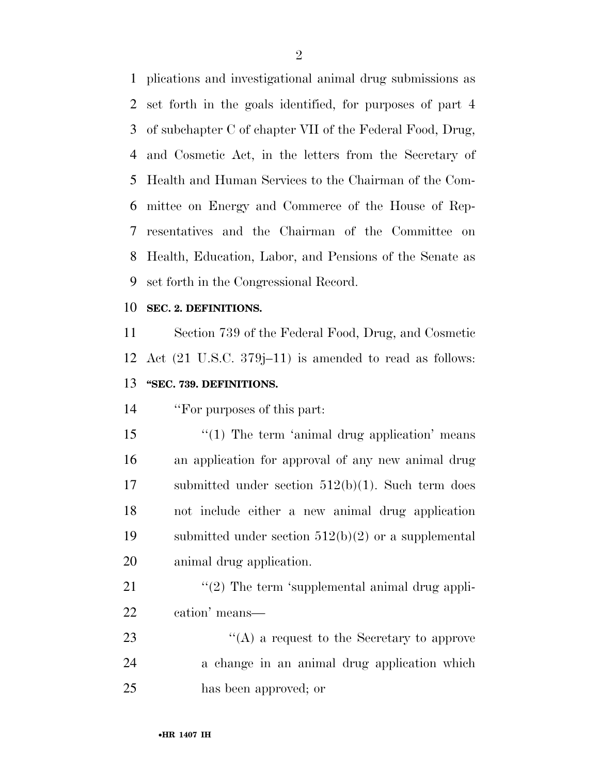plications and investigational animal drug submissions as set forth in the goals identified, for purposes of part 4 of subchapter C of chapter VII of the Federal Food, Drug, and Cosmetic Act, in the letters from the Secretary of Health and Human Services to the Chairman of the Com- mittee on Energy and Commerce of the House of Rep- resentatives and the Chairman of the Committee on Health, Education, Labor, and Pensions of the Senate as set forth in the Congressional Record.

#### **SEC. 2. DEFINITIONS.**

 Section 739 of the Federal Food, Drug, and Cosmetic Act (21 U.S.C. 379j–11) is amended to read as follows: **''SEC. 739. DEFINITIONS.** 

''For purposes of this part:

15 "(1) The term 'animal drug application' means an application for approval of any new animal drug submitted under section 512(b)(1). Such term does not include either a new animal drug application submitted under section 512(b)(2) or a supplemental animal drug application.

21  $\langle \langle 2 \rangle$  The term 'supplemental animal drug appli-cation' means—

23 ''(A) a request to the Secretary to approve a change in an animal drug application which has been approved; or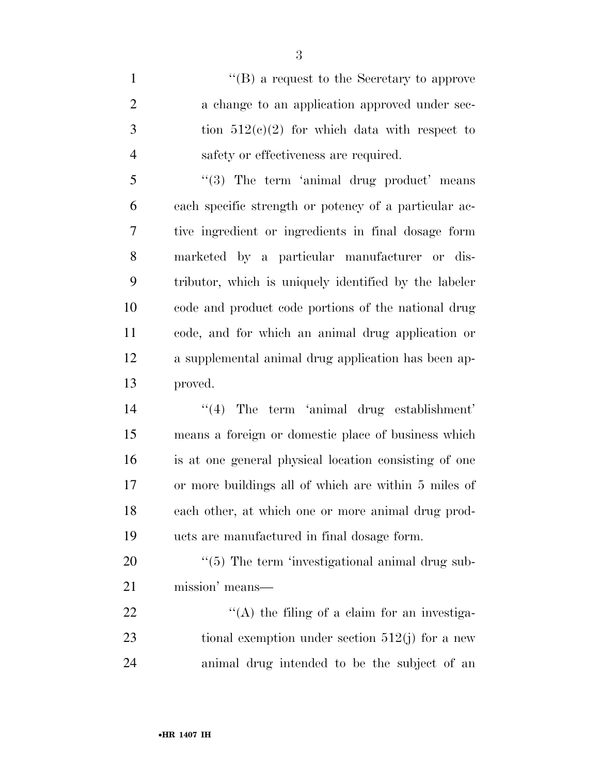1 ''(B) a request to the Secretary to approve 2 a change to an application approved under sec- tion  $512(c)(2)$  for which data with respect to safety or effectiveness are required.

5 "(3) The term 'animal drug product' means each specific strength or potency of a particular ac- tive ingredient or ingredients in final dosage form marketed by a particular manufacturer or dis- tributor, which is uniquely identified by the labeler code and product code portions of the national drug code, and for which an animal drug application or a supplemental animal drug application has been ap-proved.

14 ''(4) The term 'animal drug establishment' means a foreign or domestic place of business which is at one general physical location consisting of one or more buildings all of which are within 5 miles of each other, at which one or more animal drug prod-ucts are manufactured in final dosage form.

20  $\frac{1}{20}$  The term 'investigational animal drug sub-mission' means—

22  $\langle (A)$  the filing of a claim for an investiga-23 tional exemption under section 512(j) for a new animal drug intended to be the subject of an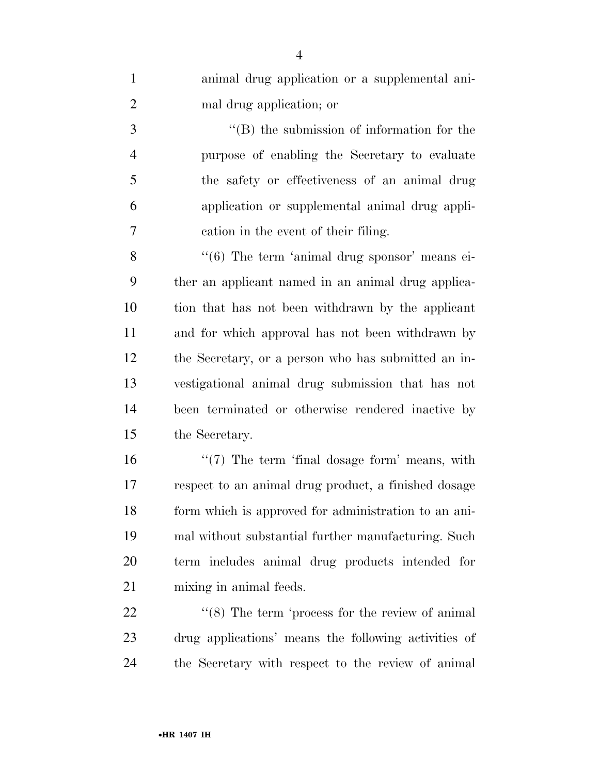| $\mathbf{1}$   | animal drug application or a supplemental ani-                |
|----------------|---------------------------------------------------------------|
| $\overline{2}$ | mal drug application; or                                      |
| 3              | $\lq\lq$ the submission of information for the                |
| $\overline{4}$ | purpose of enabling the Secretary to evaluate                 |
| 5              | the safety or effectiveness of an animal drug                 |
| 6              | application or supplemental animal drug appli-                |
| 7              | cation in the event of their filing.                          |
| 8              | $\cdot\cdot\cdot(6)$ The term 'animal drug sponsor' means ei- |
| 9              | ther an applicant named in an animal drug applica-            |
| 10             | tion that has not been withdrawn by the applicant             |
| 11             | and for which approval has not been withdrawn by              |
| 12             | the Secretary, or a person who has submitted an in-           |
| 13             | vestigational animal drug submission that has not             |
| 14             | been terminated or otherwise rendered inactive by             |
| 15             | the Secretary.                                                |
| 16             | $\lq(7)$ The term 'final dosage form' means, with             |
| 17             | respect to an animal drug product, a finished dosage          |
| 18             | form which is approved for administration to an ani-          |
| 19             | mal without substantial further manufacturing. Such           |
| 20             | term includes animal drug products intended for               |
| 21             | mixing in animal feeds.                                       |
| 22             | $\cdot\cdot$ (8) The term 'process for the review of animal   |
| 23             | drug applications' means the following activities of          |

the Secretary with respect to the review of animal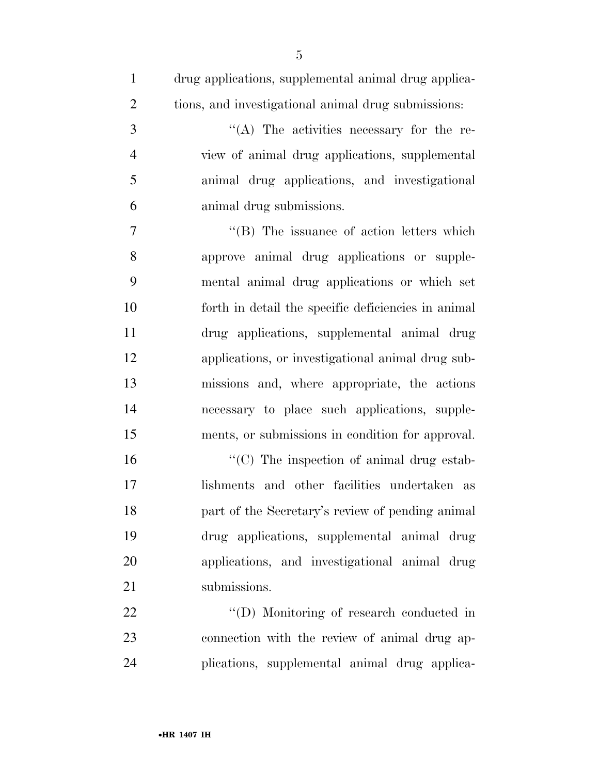| $\mathbf{1}$   | drug applications, supplemental animal drug applica- |
|----------------|------------------------------------------------------|
| $\overline{2}$ | tions, and investigational animal drug submissions:  |
| 3              | "(A) The activities necessary for the re-            |
| $\overline{4}$ | view of animal drug applications, supplemental       |
| 5              | animal drug applications, and investigational        |
| 6              | animal drug submissions.                             |
| 7              | "(B) The issuance of action letters which            |
| 8              | approve animal drug applications or supple-          |
| 9              | mental animal drug applications or which set         |
| 10             | forth in detail the specific deficiencies in animal  |
| 11             | drug applications, supplemental animal drug          |
| 12             | applications, or investigational animal drug sub-    |
| 13             | missions and, where appropriate, the actions         |
| 14             | necessary to place such applications, supple-        |
| 15             | ments, or submissions in condition for approval.     |
| 16             | "(C) The inspection of animal drug estab-            |
| 17             | lishments and other facilities undertaken as         |
| 18             | part of the Secretary's review of pending animal     |
| 19             | drug applications, supplemental animal drug          |
| 20             | applications, and investigational animal drug        |
| 21             | submissions.                                         |
| 22             | "(D) Monitoring of research conducted in             |
| 23             | connection with the review of animal drug ap-        |

plications, supplemental animal drug applica-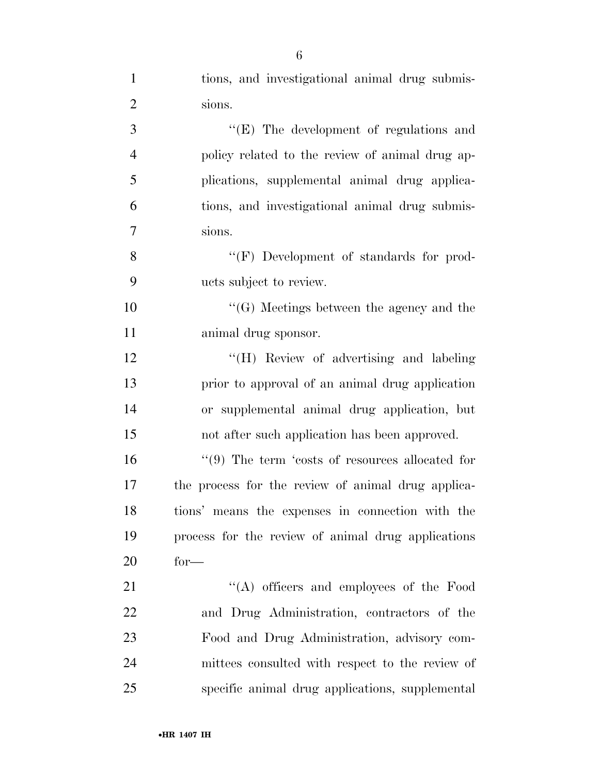|                | 6                                                   |
|----------------|-----------------------------------------------------|
| $\mathbf{1}$   | tions, and investigational animal drug submis-      |
| $\overline{2}$ | sions.                                              |
| 3              | $\lq\lq(E)$ The development of regulations and      |
| $\overline{4}$ | policy related to the review of animal drug ap-     |
| 5              | plications, supplemental animal drug applica-       |
| 6              | tions, and investigational animal drug submis-      |
| 7              | sions.                                              |
| 8              | "(F) Development of standards for prod-             |
| 9              | ucts subject to review.                             |
| 10             | $\lq\lq(G)$ Meetings between the agency and the     |
| 11             | animal drug sponsor.                                |
| 12             | "(H) Review of advertising and labeling             |
| 13             | prior to approval of an animal drug application     |
| 14             | or supplemental animal drug application, but        |
| 15             | not after such application has been approved.       |
| 16             | $\lq(9)$ The term 'costs of resources allocated for |
| 17             | the process for the review of animal drug applica-  |
| 18             | tions' means the expenses in connection with the    |
| 19             | process for the review of animal drug applications  |
| 20             | $for-$                                              |
| 21             | $\lq\lq$ officers and employees of the Food         |
| 22             | and Drug Administration, contractors of the         |
| 23             | Food and Drug Administration, advisory com-         |
| 24             | mittees consulted with respect to the review of     |
| 25             | specific animal drug applications, supplemental     |

•**HR 1407 IH**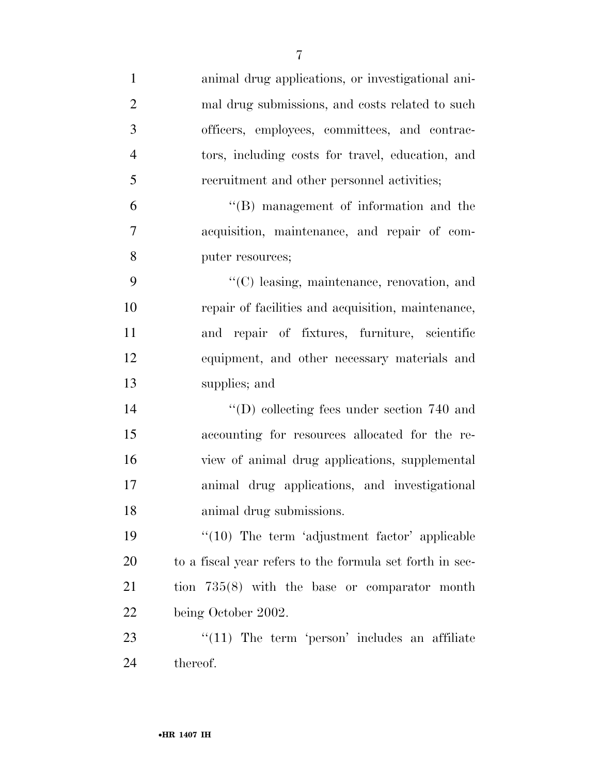| $\mathbf{1}$   | animal drug applications, or investigational ani-        |
|----------------|----------------------------------------------------------|
| $\overline{2}$ | mal drug submissions, and costs related to such          |
| 3              | officers, employees, committees, and contrac-            |
| $\overline{4}$ | tors, including costs for travel, education, and         |
| 5              | recruitment and other personnel activities;              |
| 6              | $\lq\lq$ management of information and the               |
| 7              | acquisition, maintenance, and repair of com-             |
| 8              | puter resources;                                         |
| 9              | "(C) leasing, maintenance, renovation, and               |
| 10             | repair of facilities and acquisition, maintenance,       |
| 11             | and repair of fixtures, furniture, scientific            |
| 12             | equipment, and other necessary materials and             |
| 13             | supplies; and                                            |
| 14             | $\lq\lq$ (D) collecting fees under section 740 and       |
| 15             | accounting for resources allocated for the re-           |
| 16             | view of animal drug applications, supplemental           |
| 17             | animal drug applications, and investigational            |
| 18             | animal drug submissions.                                 |
| 19             | "(10) The term 'adjustment factor' applicable            |
| 20             | to a fiscal year refers to the formula set forth in sec- |
| 21             | tion $735(8)$ with the base or comparator month          |
| 22             | being October 2002.                                      |
| 23             | $\lq(11)$ The term 'person' includes an affiliate        |
| 24             | thereof.                                                 |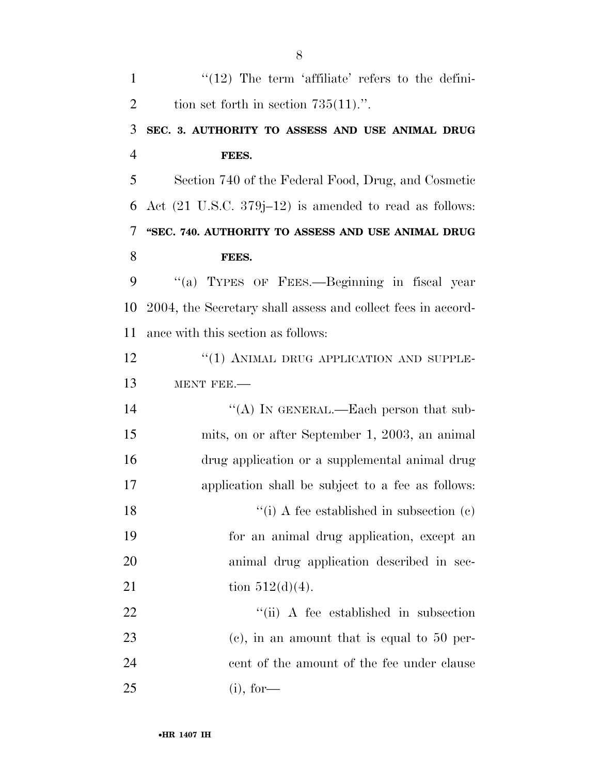| $\mathbf{1}$   | " $(12)$ The term 'affiliate' refers to the defini-               |
|----------------|-------------------------------------------------------------------|
| $\overline{2}$ | tion set forth in section $735(11)$ .".                           |
| 3              | SEC. 3. AUTHORITY TO ASSESS AND USE ANIMAL DRUG                   |
| $\overline{4}$ | FEES.                                                             |
| 5              | Section 740 of the Federal Food, Drug, and Cosmetic               |
| 6              | Act $(21 \text{ U.S.C. } 379j-12)$ is amended to read as follows: |
| 7              | "SEC. 740. AUTHORITY TO ASSESS AND USE ANIMAL DRUG                |
| 8              | FEES.                                                             |
| 9              | "(a) TYPES OF FEES.—Beginning in fiscal year                      |
| 10             | 2004, the Secretary shall assess and collect fees in accord-      |
| 11             | ance with this section as follows:                                |
| 12             | "(1) ANIMAL DRUG APPLICATION AND SUPPLE-                          |
| 13             | MENT FEE.-                                                        |
| 14             | "(A) IN GENERAL.—Each person that sub-                            |
| 15             | mits, on or after September 1, 2003, an animal                    |
| 16             | drug application or a supplemental animal drug                    |
| 17             | application shall be subject to a fee as follows:                 |
| 18             | "(i) A fee established in subsection $(c)$                        |
| 19             | for an animal drug application, except an                         |
| 20             | animal drug application described in sec-                         |
| 21             | tion $512(d)(4)$ .                                                |
| <u>22</u>      | "(ii) A fee established in subsection                             |
| 23             | $(e)$ , in an amount that is equal to 50 per-                     |
| 24             | cent of the amount of the fee under clause                        |
| 25             | $(i)$ , for-                                                      |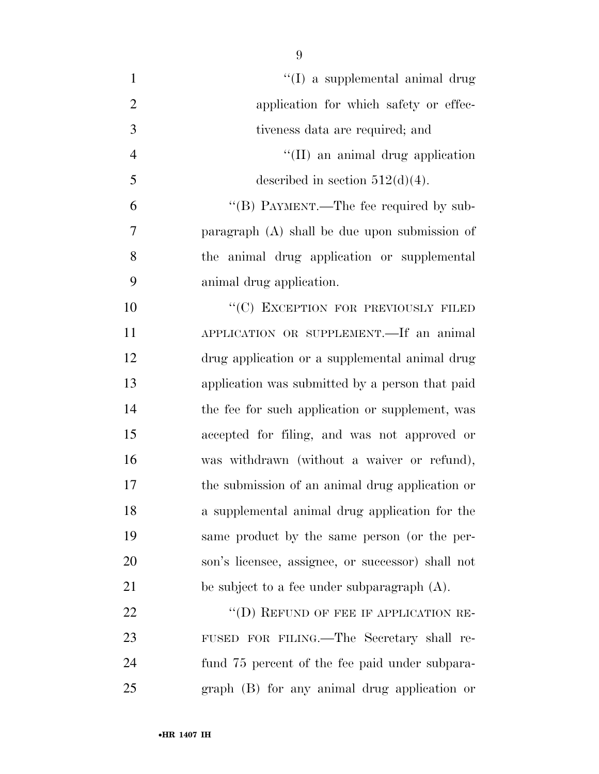| $\mathbf{1}$   | "(I) a supplemental animal drug                   |
|----------------|---------------------------------------------------|
| $\mathfrak{2}$ | application for which safety or effec-            |
| 3              | tiveness data are required; and                   |
| $\overline{4}$ | $\lq\lq$ (II) an animal drug application          |
| 5              | described in section $512(d)(4)$ .                |
| 6              | "(B) PAYMENT.—The fee required by sub-            |
| $\overline{7}$ | paragraph (A) shall be due upon submission of     |
| 8              | the animal drug application or supplemental       |
| 9              | animal drug application.                          |
| 10             | "(C) EXCEPTION FOR PREVIOUSLY FILED               |
| 11             | APPLICATION OR SUPPLEMENT. If an animal           |
| 12             | drug application or a supplemental animal drug    |
| 13             | application was submitted by a person that paid   |
| 14             | the fee for such application or supplement, was   |
| 15             | accepted for filing, and was not approved or      |
| 16             | was withdrawn (without a waiver or refund),       |
| 17             | the submission of an animal drug application or   |
| 18             | a supplemental animal drug application for the    |
| 19             | same product by the same person (or the per-      |
| 20             | son's licensee, assignee, or successor) shall not |
| 21             | be subject to a fee under subparagraph $(A)$ .    |
| 22             | "(D) REFUND OF FEE IF APPLICATION RE-             |
| 23             | FUSED FOR FILING.—The Secretary shall re-         |
| 24             | fund 75 percent of the fee paid under subpara-    |
| 25             | graph (B) for any animal drug application or      |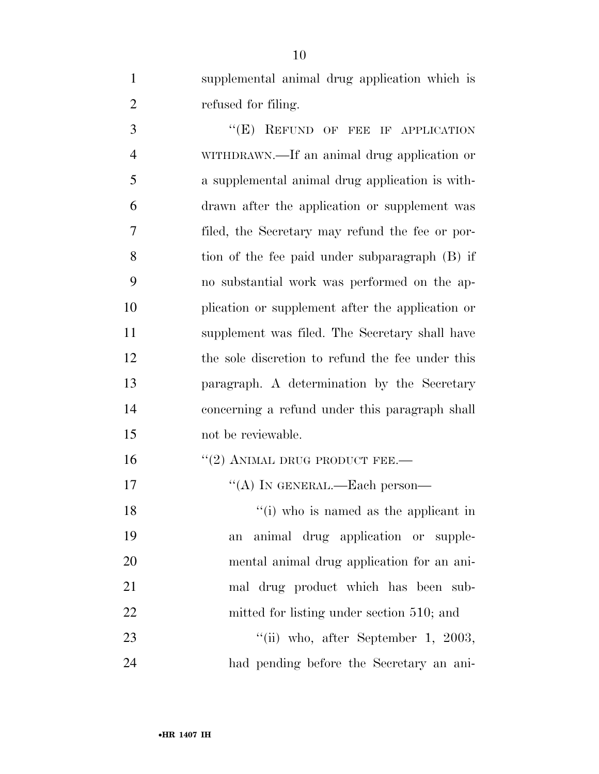supplemental animal drug application which is refused for filing.

3 "(E) REFUND OF FEE IF APPLICATION WITHDRAWN.—If an animal drug application or a supplemental animal drug application is with- drawn after the application or supplement was filed, the Secretary may refund the fee or por- tion of the fee paid under subparagraph (B) if no substantial work was performed on the ap- plication or supplement after the application or supplement was filed. The Secretary shall have the sole discretion to refund the fee under this paragraph. A determination by the Secretary concerning a refund under this paragraph shall not be reviewable.

16 "(2) ANIMAL DRUG PRODUCT FEE.—

17 "(A) IN GENERAL.—Each person—

18 ''(i) who is named as the applicant in an animal drug application or supple- mental animal drug application for an ani- mal drug product which has been sub-22 mitted for listing under section 510; and 23 "(ii) who, after September 1, 2003,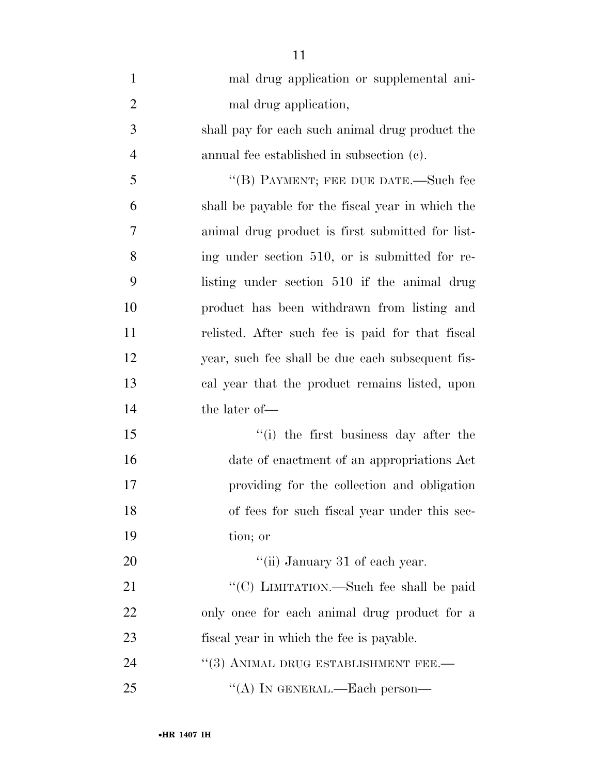| $\mathbf{1}$   | mal drug application or supplemental ani-         |
|----------------|---------------------------------------------------|
| $\overline{2}$ | mal drug application,                             |
| 3              | shall pay for each such animal drug product the   |
| $\overline{4}$ | annual fee established in subsection (c).         |
| 5              | "(B) PAYMENT; FEE DUE DATE.—Such fee              |
| 6              | shall be payable for the fiscal year in which the |
| 7              | animal drug product is first submitted for list-  |
| 8              | ing under section 510, or is submitted for re-    |
| 9              | listing under section 510 if the animal drug      |
| 10             | product has been withdrawn from listing and       |
| 11             | relisted. After such fee is paid for that fiscal  |
| 12             | year, such fee shall be due each subsequent fis-  |
| 13             | cal year that the product remains listed, upon    |
| 14             | the later of-                                     |
| 15             | "(i) the first business day after the             |
| 16             | date of enactment of an appropriations Act        |
| 17             | providing for the collection and obligation       |
| 18             | of fees for such fiscal year under this sec-      |
| 19             | tion; or                                          |
| 20             | "(ii) January 31 of each year.                    |
| 21             | "(C) LIMITATION.—Such fee shall be paid           |
| 22             | only once for each animal drug product for a      |
| 23             | fiscal year in which the fee is payable.          |
| 24             | $``(3)$ ANIMAL DRUG ESTABLISHMENT FEE.—           |
| 25             | "(A) IN GENERAL.—Each person—                     |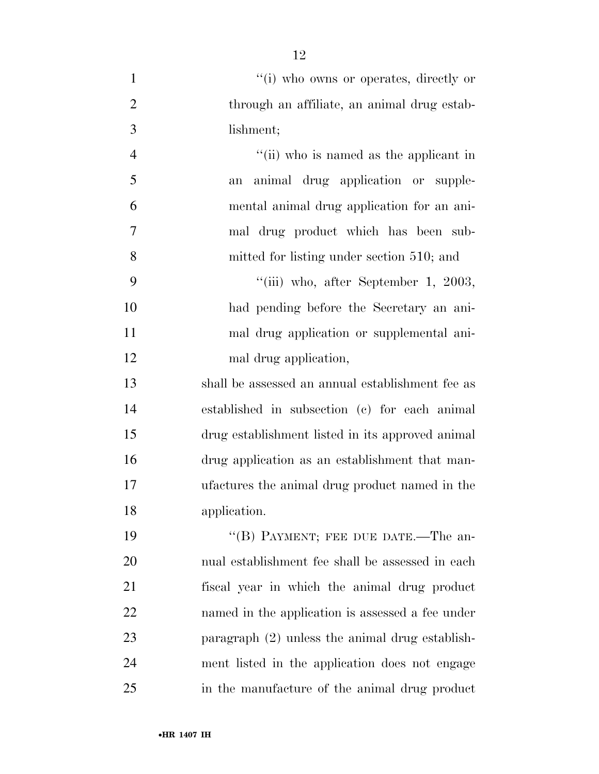| $\mathbf{1}$   | "(i) who owns or operates, directly or            |
|----------------|---------------------------------------------------|
| $\overline{2}$ | through an affiliate, an animal drug estab-       |
| 3              | lishment;                                         |
| $\overline{4}$ | "(ii) who is named as the applicant in            |
| 5              | animal drug application or supple-<br>an          |
| 6              | mental animal drug application for an ani-        |
| $\tau$         | mal drug product which has been sub-              |
| 8              | mitted for listing under section 510; and         |
| 9              | "(iii) who, after September 1, 2003,              |
| 10             | had pending before the Secretary an ani-          |
| 11             | mal drug application or supplemental ani-         |
| 12             | mal drug application,                             |
| 13             | shall be assessed an annual establishment fee as  |
| 14             | established in subsection (c) for each animal     |
| 15             | drug establishment listed in its approved animal  |
| 16             | drug application as an establishment that man-    |
| $17\,$         | ufactures the animal drug product named in the    |
| 18             | application.                                      |
| 19             | "(B) PAYMENT; FEE DUE DATE.—The an-               |
| 20             | nual establishment fee shall be assessed in each  |
| 21             | fiscal year in which the animal drug product      |
| 22             | named in the application is assessed a fee under  |
| 23             | paragraph $(2)$ unless the animal drug establish- |
| 24             | ment listed in the application does not engage    |
| 25             | in the manufacture of the animal drug product     |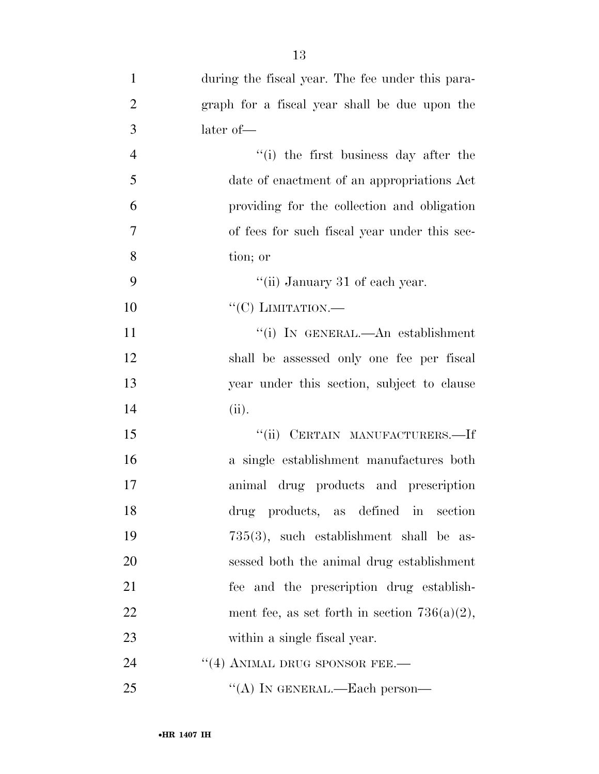| $\mathbf{1}$   | during the fiscal year. The fee under this para- |
|----------------|--------------------------------------------------|
| $\overline{2}$ | graph for a fiscal year shall be due upon the    |
| 3              | later of-                                        |
| $\overline{4}$ | "(i) the first business day after the            |
| 5              | date of enactment of an appropriations Act       |
| 6              | providing for the collection and obligation      |
| $\overline{7}$ | of fees for such fiscal year under this sec-     |
| 8              | tion; or                                         |
| 9              | "(ii) January 31 of each year.                   |
| 10             | "(C) LIMITATION.—                                |
| 11             | "(i) IN GENERAL.—An establishment                |
| 12             | shall be assessed only one fee per fiscal        |
| 13             | year under this section, subject to clause       |
| 14             | (ii).                                            |
| 15             | "(ii) CERTAIN MANUFACTURERS.-If                  |
| 16             | a single establishment manufactures both         |
| 17             | animal drug products and prescription            |
| 18             | drug products, as defined in section             |
| 19             | $735(3)$ , such establishment shall be as-       |
| 20             | sessed both the animal drug establishment        |
| 21             | fee and the prescription drug establish-         |
| 22             | ment fee, as set forth in section $736(a)(2)$ ,  |
| 23             | within a single fiscal year.                     |
| 24             | $"$ (4) ANIMAL DRUG SPONSOR FEE.—                |
| 25             | "(A) IN GENERAL.—Each person—                    |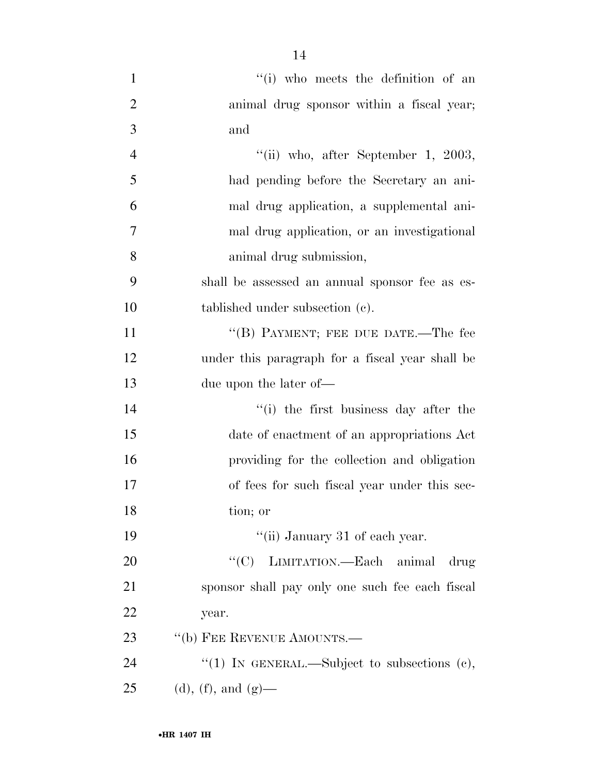| $\mathbf{1}$   | "(i) who meets the definition of an             |
|----------------|-------------------------------------------------|
| $\overline{2}$ | animal drug sponsor within a fiscal year;       |
| $\mathfrak{Z}$ | and                                             |
| $\overline{4}$ | "(ii) who, after September 1, 2003,             |
| 5              | had pending before the Secretary an ani-        |
| 6              | mal drug application, a supplemental ani-       |
| 7              | mal drug application, or an investigational     |
| 8              | animal drug submission,                         |
| 9              | shall be assessed an annual sponsor fee as es-  |
| 10             | tablished under subsection (c).                 |
| 11             | "(B) PAYMENT; FEE DUE DATE.—The fee             |
| 12             | under this paragraph for a fiscal year shall be |
| 13             | due upon the later of—                          |
| 14             | "(i) the first business day after the           |
| 15             | date of enactment of an appropriations Act      |
| 16             | providing for the collection and obligation     |
| 17             | of fees for such fiscal year under this sec-    |
| 18             | tion; or                                        |
| 19             | "(ii) January 31 of each year.                  |
| 20             | "(C) LIMITATION.—Each animal<br>drug            |
| 21             | sponsor shall pay only one such fee each fiscal |
| 22             | year.                                           |
| 23             | "(b) FEE REVENUE AMOUNTS.—                      |
| 24             | "(1) IN GENERAL.—Subject to subsections $(e)$ , |
| 25             | (d), (f), and $(g)$ —                           |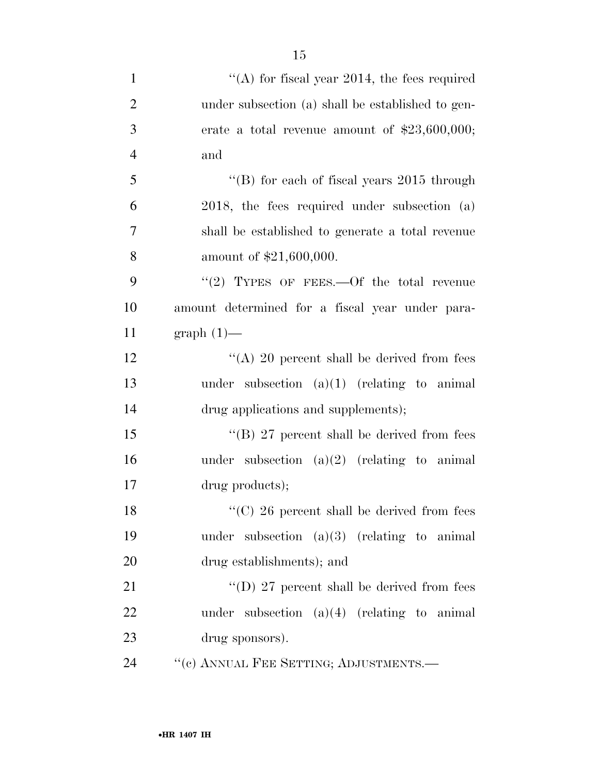| $\mathbf{1}$   | "(A) for fiscal year 2014, the fees required       |
|----------------|----------------------------------------------------|
| $\overline{2}$ | under subsection (a) shall be established to gen-  |
| 3              | erate a total revenue amount of $$23,600,000;$     |
| $\overline{4}$ | and                                                |
| 5              | "(B) for each of fiscal years $2015$ through       |
| 6              | $2018$ , the fees required under subsection (a)    |
| 7              | shall be established to generate a total revenue   |
| 8              | amount of \$21,600,000.                            |
| 9              | "(2) TYPES OF FEES.—Of the total revenue           |
| 10             | amount determined for a fiscal year under para-    |
| 11             | $graph(1)$ —                                       |
| 12             | "(A) 20 percent shall be derived from fees         |
| 13             | under subsection $(a)(1)$ (relating to animal      |
| 14             | drug applications and supplements);                |
| 15             | "(B) 27 percent shall be derived from fees         |
| 16             | under subsection $(a)(2)$ (relating to animal      |
| 17             | drug products);                                    |
| 18             | $\lq\lq$ (C) 26 percent shall be derived from fees |
| 19             | under subsection $(a)(3)$ (relating to animal      |
| 20             | drug establishments); and                          |
| 21             | "(D) 27 percent shall be derived from fees         |
| 22             | under subsection $(a)(4)$ (relating to animal      |
| 23             | drug sponsors).                                    |
| 24             | "(c) ANNUAL FEE SETTING; ADJUSTMENTS.-             |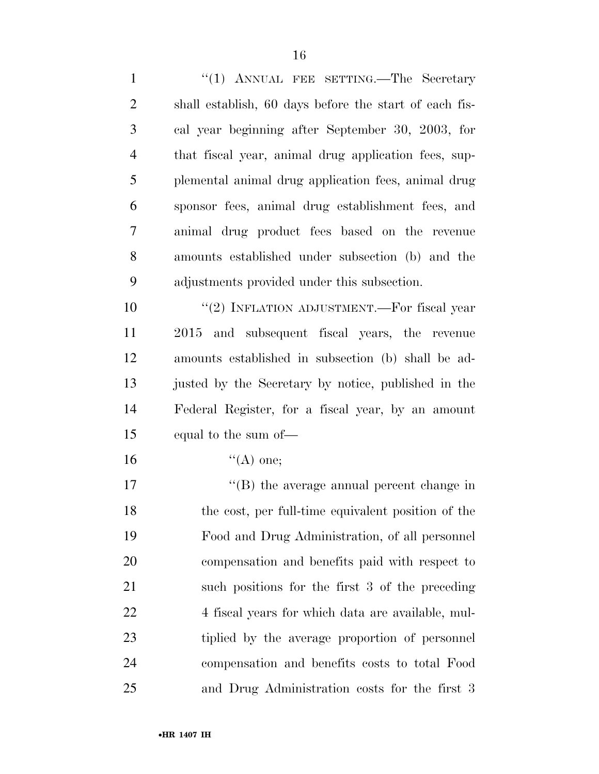1 "(1) ANNUAL FEE SETTING.—The Secretary shall establish, 60 days before the start of each fis- cal year beginning after September 30, 2003, for that fiscal year, animal drug application fees, sup- plemental animal drug application fees, animal drug sponsor fees, animal drug establishment fees, and animal drug product fees based on the revenue amounts established under subsection (b) and the adjustments provided under this subsection.  $(2)$  INFLATION ADJUSTMENT.—For fiscal year 2015 and subsequent fiscal years, the revenue amounts established in subsection (b) shall be ad- justed by the Secretary by notice, published in the Federal Register, for a fiscal year, by an amount

- equal to the sum of—
- 16  $"({\rm A})$  one;

 $\text{``(B)}$  the average annual percent change in the cost, per full-time equivalent position of the Food and Drug Administration, of all personnel compensation and benefits paid with respect to such positions for the first 3 of the preceding 22 4 fiscal years for which data are available, mul- tiplied by the average proportion of personnel compensation and benefits costs to total Food and Drug Administration costs for the first 3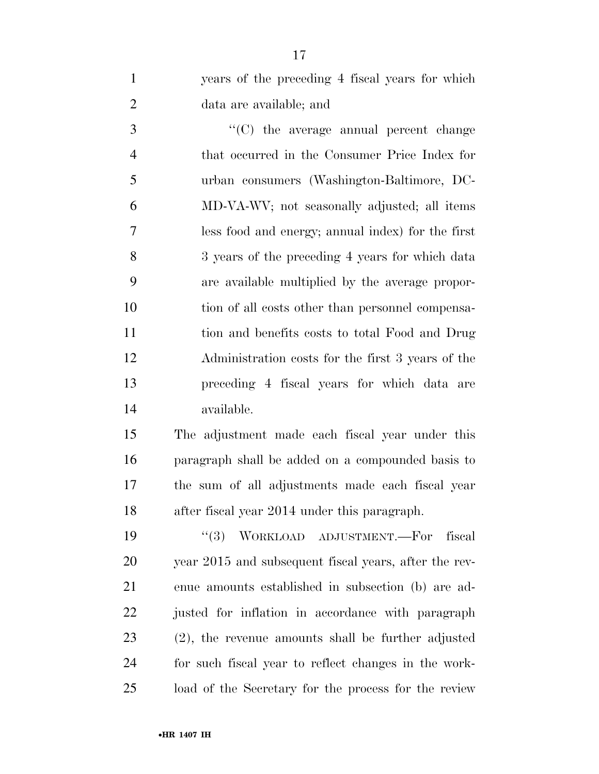years of the preceding 4 fiscal years for which data are available; and

 ''(C) the average annual percent change that occurred in the Consumer Price Index for urban consumers (Washington-Baltimore, DC- MD-VA-WV; not seasonally adjusted; all items less food and energy; annual index) for the first 3 years of the preceding 4 years for which data are available multiplied by the average propor- tion of all costs other than personnel compensa- tion and benefits costs to total Food and Drug Administration costs for the first 3 years of the preceding 4 fiscal years for which data are available.

 The adjustment made each fiscal year under this paragraph shall be added on a compounded basis to the sum of all adjustments made each fiscal year after fiscal year 2014 under this paragraph.

 ''(3) WORKLOAD ADJUSTMENT.—For fiscal year 2015 and subsequent fiscal years, after the rev- enue amounts established in subsection (b) are ad- justed for inflation in accordance with paragraph (2), the revenue amounts shall be further adjusted for such fiscal year to reflect changes in the work-load of the Secretary for the process for the review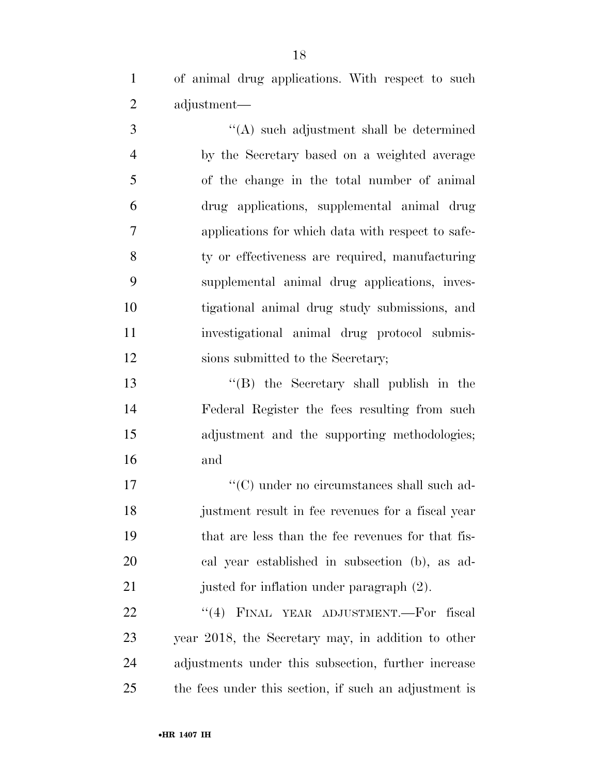of animal drug applications. With respect to such adjustment—

 ''(A) such adjustment shall be determined by the Secretary based on a weighted average of the change in the total number of animal drug applications, supplemental animal drug applications for which data with respect to safe- ty or effectiveness are required, manufacturing supplemental animal drug applications, inves- tigational animal drug study submissions, and investigational animal drug protocol submis-12 sions submitted to the Secretary;

 ''(B) the Secretary shall publish in the Federal Register the fees resulting from such adjustment and the supporting methodologies; and

17 ''(C) under no circumstances shall such ad- justment result in fee revenues for a fiscal year that are less than the fee revenues for that fis- cal year established in subsection (b), as ad-21 justed for inflation under paragraph  $(2)$ .

22 "(4) FINAL YEAR ADJUSTMENT.—For fiscal year 2018, the Secretary may, in addition to other adjustments under this subsection, further increase the fees under this section, if such an adjustment is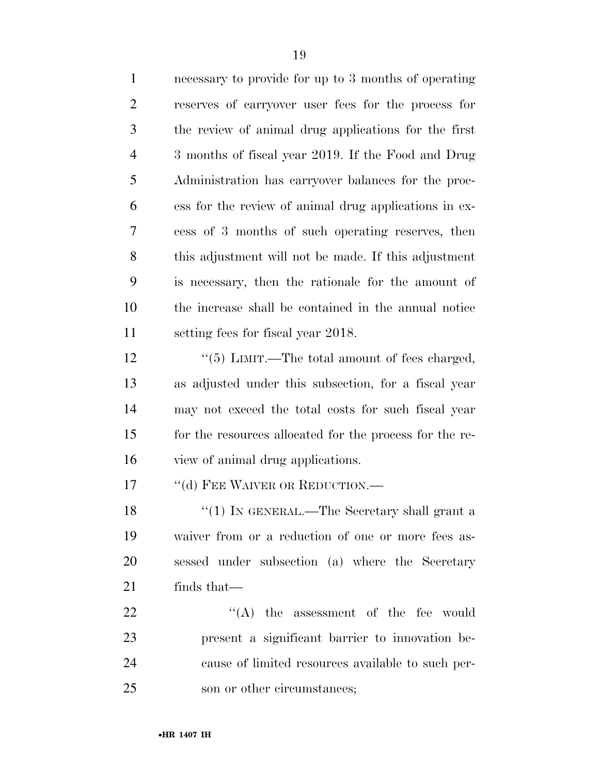| $\mathbf{1}$   | necessary to provide for up to 3 months of operating    |
|----------------|---------------------------------------------------------|
| $\overline{2}$ | reserves of carryover user fees for the process for     |
| 3              | the review of animal drug applications for the first    |
| $\overline{4}$ | 3 months of fiscal year 2019. If the Food and Drug      |
| 5              | Administration has carryover balances for the proc-     |
| 6              | ess for the review of animal drug applications in ex-   |
| 7              | cess of 3 months of such operating reserves, then       |
| 8              | this adjustment will not be made. If this adjustment    |
| 9              | is necessary, then the rationale for the amount of      |
| 10             | the increase shall be contained in the annual notice    |
| 11             | setting fees for fiscal year 2018.                      |
| 12             | "(5) LIMIT.—The total amount of fees charged,           |
| 13             | as adjusted under this subsection, for a fiscal year    |
| 14             | may not exceed the total costs for such fiscal year     |
| 15             | for the resources allocated for the process for the re- |
| 16             | view of animal drug applications.                       |
| 17             | "(d) FEE WAIVER OR REDUCTION.—                          |
| 18             | "(1) IN GENERAL.—The Secretary shall grant a            |
| 19             | waiver from or a reduction of one or more fees as-      |
| 20             | sessed under subsection (a) where the Secretary         |
| 21             | finds that—                                             |
| 22             | $\lq\lq$ the assessment of the fee would                |
| 23             | present a significant barrier to innovation be-         |
| 24             | cause of limited resources available to such per-       |
| 25             | son or other circumstances;                             |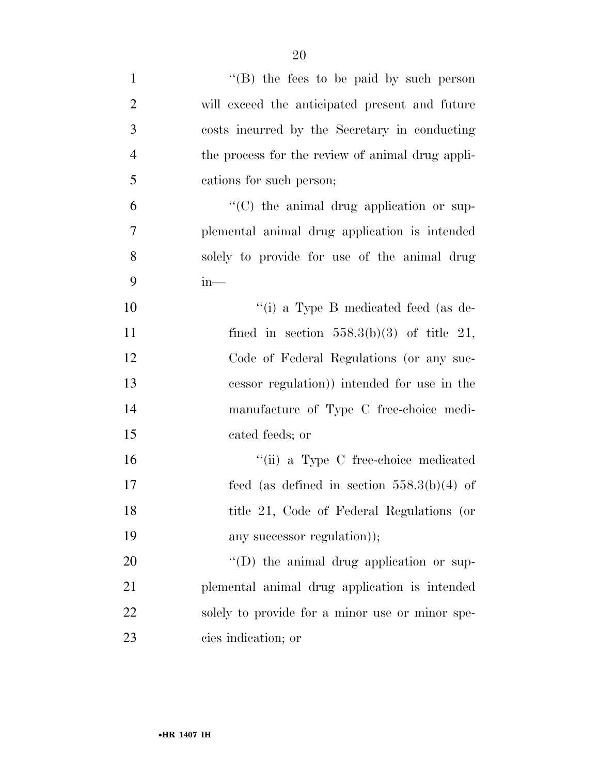| $\mathbf{1}$   | "(B) the fees to be paid by such person          |
|----------------|--------------------------------------------------|
| $\overline{2}$ | will exceed the anticipated present and future   |
| 3              | costs incurred by the Secretary in conducting    |
| $\overline{4}$ | the process for the review of animal drug appli- |
| 5              | cations for such person;                         |
| 6              | $\lq\lq$ (C) the animal drug application or sup- |
| 7              | plemental animal drug application is intended    |
| 8              | solely to provide for use of the animal drug     |
| 9              | $in-$                                            |
| 10             | "(i) a Type B medicated feed (as de-             |
| 11             | fined in section $558.3(b)(3)$ of title 21,      |
| 12             | Code of Federal Regulations (or any suc-         |
| 13             | cessor regulation) intended for use in the       |
| 14             | manufacture of Type C free-choice medi-          |
| 15             | cated feeds; or                                  |
| 16             | "(ii) a Type C free-choice medicated             |
| 17             | feed (as defined in section $558.3(b)(4)$ of     |
| 18             | title 21, Code of Federal Regulations (or        |
| 19             | any successor regulation));                      |
| 20             | $\lq\lq$ the animal drug application or sup-     |
| 21             | plemental animal drug application is intended    |
| 22             | solely to provide for a minor use or minor spe-  |
| 23             | cies indication; or                              |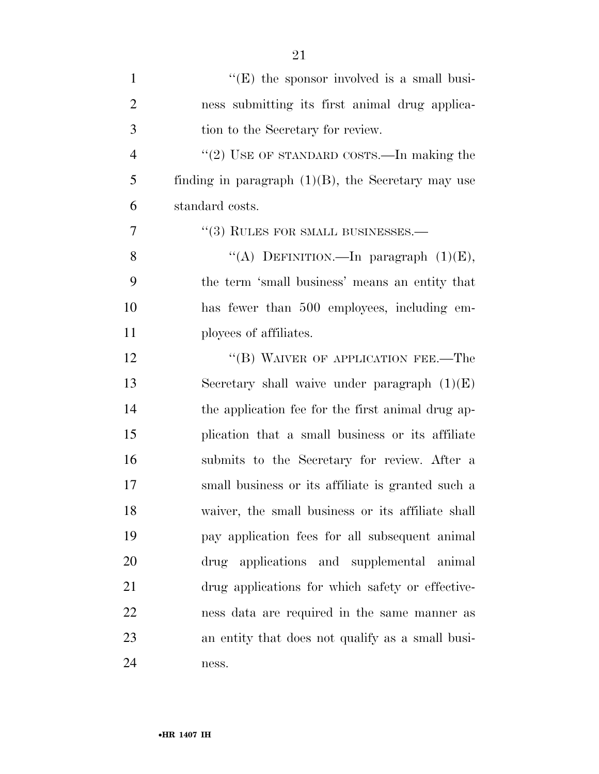| $\mathbf{1}$   | $\lq\lq$ (E) the sponsor involved is a small busi-    |
|----------------|-------------------------------------------------------|
| $\overline{2}$ | ness submitting its first animal drug applica-        |
| 3              | tion to the Secretary for review.                     |
| 4              | "(2) USE OF STANDARD COSTS.—In making the             |
| 5              | finding in paragraph $(1)(B)$ , the Secretary may use |
| 6              | standard costs.                                       |
| 7              | $\cdot$ (3) RULES FOR SMALL BUSINESSES.—              |
| 8              | "(A) DEFINITION. - In paragraph $(1)(E)$ ,            |
| 9              | the term 'small business' means an entity that        |
| 10             | has fewer than 500 employees, including em-           |
| 11             | ployees of affiliates.                                |
| 12             | "(B) WAIVER OF APPLICATION FEE.—The                   |
| 13             | Secretary shall waive under paragraph $(1)(E)$        |
| 14             | the application fee for the first animal drug ap-     |
| 15             | plication that a small business or its affiliate      |
| 16             | submits to the Secretary for review. After a          |
| 17             | small business or its affiliate is granted such a     |
| 18             | waiver, the small business or its affiliate shall     |
| 19             | pay application fees for all subsequent animal        |
| 20             | drug applications and supplemental animal             |
| 21             | drug applications for which safety or effective-      |
| 22             | ness data are required in the same manner as          |
| 23             | an entity that does not qualify as a small busi-      |
| 24             | ness.                                                 |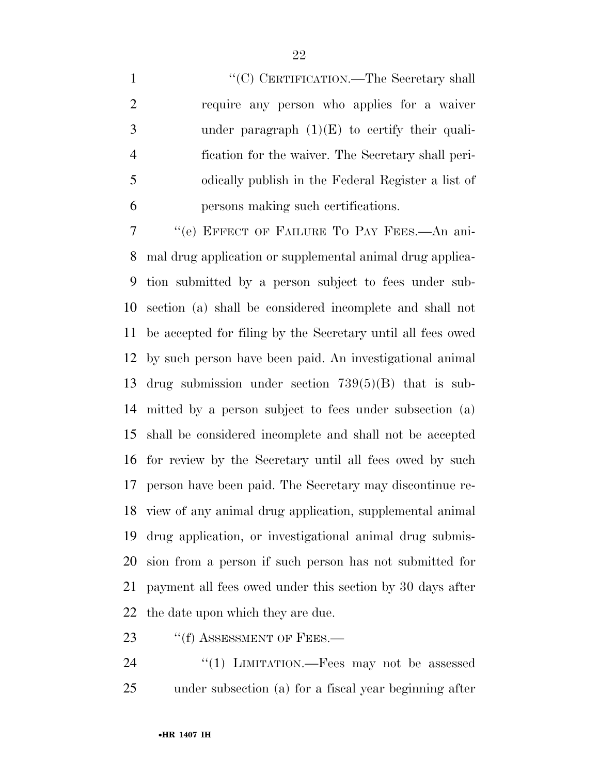$\text{``(C)}$  CERTIFICATION.—The Secretary shall require any person who applies for a waiver 3 under paragraph  $(1)(E)$  to certify their quali- fication for the waiver. The Secretary shall peri- odically publish in the Federal Register a list of persons making such certifications.

 ''(e) EFFECT OF FAILURE TO PAY FEES.—An ani- mal drug application or supplemental animal drug applica- tion submitted by a person subject to fees under sub- section (a) shall be considered incomplete and shall not be accepted for filing by the Secretary until all fees owed by such person have been paid. An investigational animal drug submission under section 739(5)(B) that is sub- mitted by a person subject to fees under subsection (a) shall be considered incomplete and shall not be accepted for review by the Secretary until all fees owed by such person have been paid. The Secretary may discontinue re- view of any animal drug application, supplemental animal drug application, or investigational animal drug submis- sion from a person if such person has not submitted for payment all fees owed under this section by 30 days after the date upon which they are due.

23 "(f) ASSESSMENT OF FEES.—

24 "(1) LIMITATION.—Fees may not be assessed under subsection (a) for a fiscal year beginning after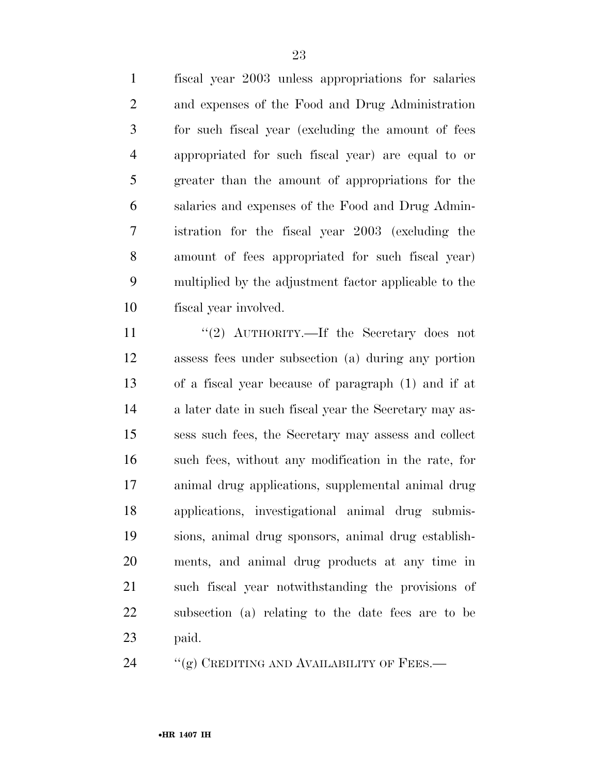fiscal year 2003 unless appropriations for salaries and expenses of the Food and Drug Administration for such fiscal year (excluding the amount of fees appropriated for such fiscal year) are equal to or greater than the amount of appropriations for the salaries and expenses of the Food and Drug Admin- istration for the fiscal year 2003 (excluding the amount of fees appropriated for such fiscal year) multiplied by the adjustment factor applicable to the fiscal year involved.

11 ''(2) AUTHORITY.—If the Secretary does not assess fees under subsection (a) during any portion of a fiscal year because of paragraph (1) and if at a later date in such fiscal year the Secretary may as- sess such fees, the Secretary may assess and collect such fees, without any modification in the rate, for animal drug applications, supplemental animal drug applications, investigational animal drug submis- sions, animal drug sponsors, animal drug establish- ments, and animal drug products at any time in such fiscal year notwithstanding the provisions of subsection (a) relating to the date fees are to be paid.

24 "(g) CREDITING AND AVAILABILITY OF FEES.—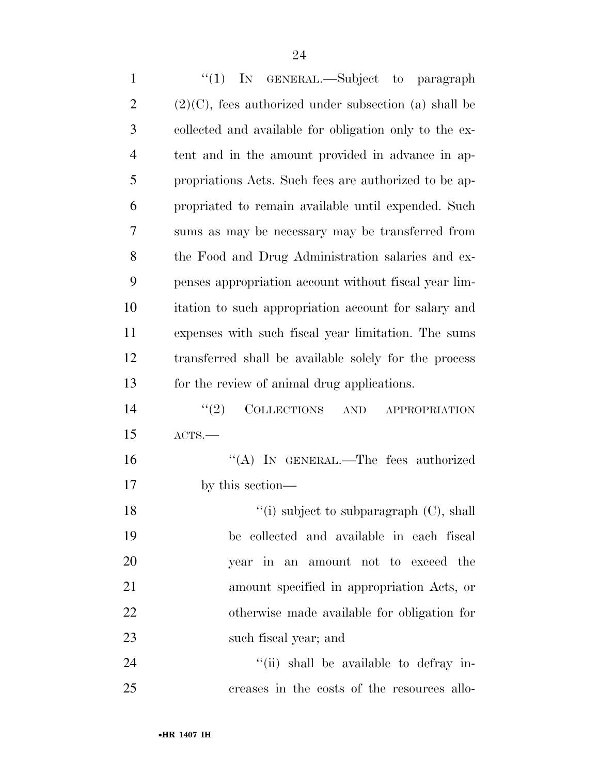| $\mathbf{1}$   | "(1) IN GENERAL.—Subject to paragraph                              |
|----------------|--------------------------------------------------------------------|
| $\overline{2}$ | $(2)(C)$ , fees authorized under subsection (a) shall be           |
| 3              | collected and available for obligation only to the ex-             |
| $\overline{4}$ | tent and in the amount provided in advance in ap-                  |
| 5              | propriations Acts. Such fees are authorized to be ap-              |
| 6              | propriated to remain available until expended. Such                |
| 7              | sums as may be necessary may be transferred from                   |
| 8              | the Food and Drug Administration salaries and ex-                  |
| 9              | penses appropriation account without fiscal year lim-              |
| 10             | itation to such appropriation account for salary and               |
| 11             | expenses with such fiscal year limitation. The sums                |
| 12             | transferred shall be available solely for the process              |
| 13             | for the review of animal drug applications.                        |
| 14             | <b>COLLECTIONS</b><br>(2)<br>$\operatorname{AND}$<br>APPROPRIATION |
| 15             | ACTS.                                                              |
| 16             | "(A) IN GENERAL.—The fees authorized                               |
| 17             | by this section—                                                   |
| 18             | $\lq\lq$ (i) subject to subparagraph (C), shall                    |
| 19             | be collected and available in each fiscal                          |
| $20\,$         | year in an amount not to exceed the                                |
| 21             | amount specified in appropriation Acts, or                         |
| 22             | otherwise made available for obligation for                        |
| 23             | such fiscal year; and                                              |
| 24             | "(ii) shall be available to defray in-                             |
| 25             | creases in the costs of the resources allo-                        |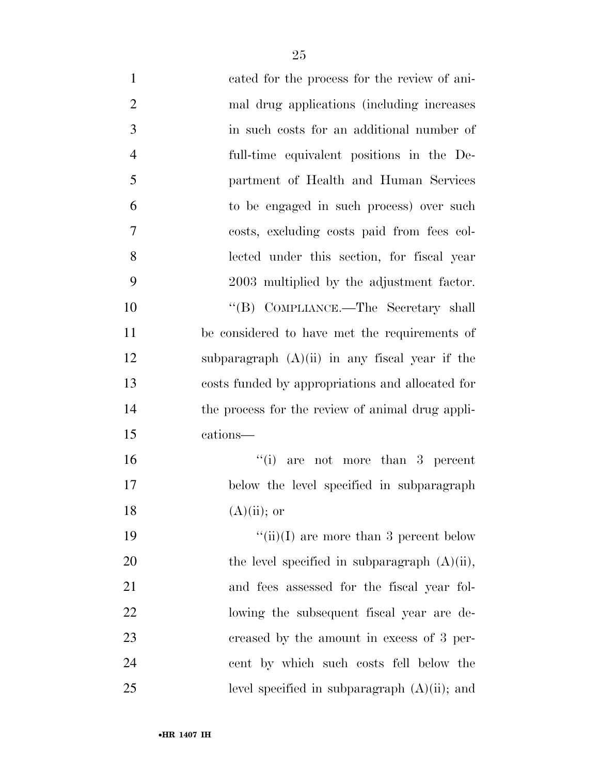| $\mathbf{1}$   | cated for the process for the review of ani-     |
|----------------|--------------------------------------------------|
| $\overline{2}$ | mal drug applications (including increases)      |
| 3              | in such costs for an additional number of        |
| $\overline{4}$ | full-time equivalent positions in the De-        |
| 5              | partment of Health and Human Services            |
| 6              | to be engaged in such process) over such         |
| 7              | costs, excluding costs paid from fees col-       |
| 8              | lected under this section, for fiscal year       |
| 9              | 2003 multiplied by the adjustment factor.        |
| 10             | "(B) COMPLIANCE.—The Secretary shall             |
| 11             | be considered to have met the requirements of    |
| 12             | subparagraph $(A)(ii)$ in any fiscal year if the |
| 13             | costs funded by appropriations and allocated for |
| 14             | the process for the review of animal drug appli- |
| 15             | cations—                                         |
| 16             | ``(i)<br>are not more than 3 percent             |
| 17             | below the level specified in subparagraph        |
| 18             | $(A)(ii)$ ; or                                   |
| 19             | "(ii)(I) are more than 3 percent below           |
| 20             | the level specified in subparagraph $(A)(ii)$ ,  |
| 21             | and fees assessed for the fiscal year fol-       |
| 22             | lowing the subsequent fiscal year are de-        |
| 23             | creased by the amount in excess of 3 per-        |
| 24             | cent by which such costs fell below the          |
| 25             | level specified in subparagraph $(A)(ii)$ ; and  |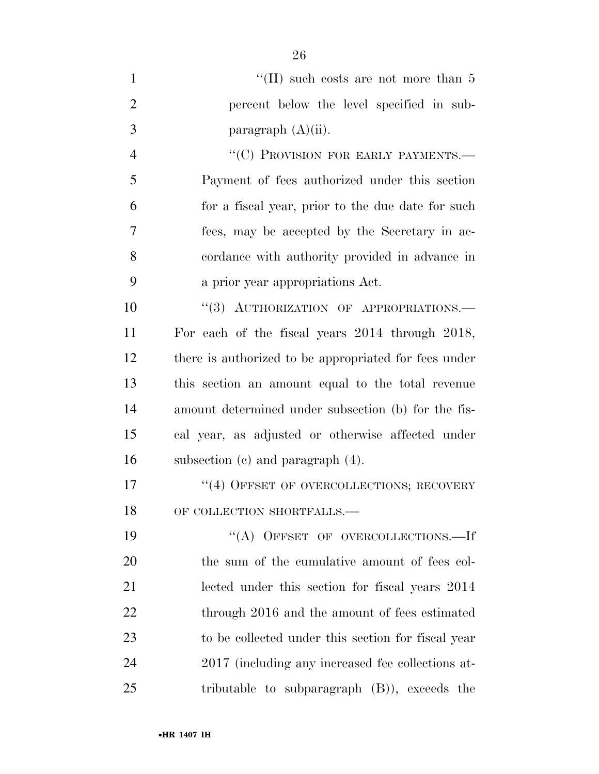|                | "(II) such costs are not more than $5$           |
|----------------|--------------------------------------------------|
| $\overline{2}$ | percent below the level specified in sub-        |
| -3             | paragraph $(A)(ii)$ .                            |
|                | "(C) PROVISION FOR EARLY PAYMENTS.—              |
| -5             | Payment of fees authorized under this section    |
| 6              | for a fiscal your prior to the due date for such |

 for a fiscal year, prior to the due date for such fees, may be accepted by the Secretary in ac- cordance with authority provided in advance in a prior year appropriations Act.

10 "(3) AUTHORIZATION OF APPROPRIATIONS.— For each of the fiscal years 2014 through 2018, there is authorized to be appropriated for fees under this section an amount equal to the total revenue amount determined under subsection (b) for the fis- cal year, as adjusted or otherwise affected under subsection (c) and paragraph (4).

17 <sup>''</sup>(4) OFFSET OF OVERCOLLECTIONS; RECOVERY 18 OF COLLECTION SHORTFALLS.—

19 "(A) OFFSET OF OVERCOLLECTIONS.—If the sum of the cumulative amount of fees col- lected under this section for fiscal years 2014 22 through 2016 and the amount of fees estimated to be collected under this section for fiscal year 2017 (including any increased fee collections at-tributable to subparagraph (B)), exceeds the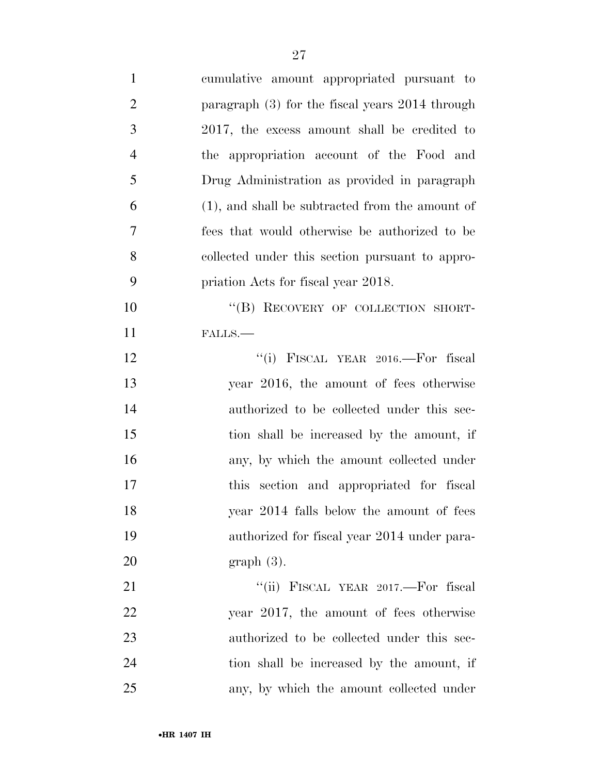| $\mathbf{1}$   | cumulative amount appropriated pursuant to         |
|----------------|----------------------------------------------------|
| $\overline{2}$ | paragraph $(3)$ for the fiscal years 2014 through  |
| 3              | 2017, the excess amount shall be credited to       |
| $\overline{4}$ | the appropriation account of the Food and          |
| 5              | Drug Administration as provided in paragraph       |
| 6              | $(1)$ , and shall be subtracted from the amount of |
| 7              | fees that would otherwise be authorized to be      |
| 8              | collected under this section pursuant to appro-    |
| 9              | priation Acts for fiscal year 2018.                |
| 10             | "(B) RECOVERY OF COLLECTION SHORT-                 |
| 11             | FALLS.                                             |
| 12             | "(i) FISCAL YEAR 2016.—For fiscal                  |
| 13             | year 2016, the amount of fees otherwise            |
| 14             | authorized to be collected under this sec-         |
| 15             | tion shall be increased by the amount, if          |
| 16             | any, by which the amount collected under           |
| 17             | section and appropriated for fiscal<br><i>this</i> |
| 18             | year 2014 falls below the amount of fees           |
| 19             | authorized for fiscal year 2014 under para-        |
| 20             | $graph(3)$ .                                       |
| 21             | "(ii) FISCAL YEAR 2017.—For fiscal                 |
| 22             | year 2017, the amount of fees otherwise            |
| 23             | authorized to be collected under this sec-         |
| 24             | tion shall be increased by the amount, if          |
| 25             | any, by which the amount collected under           |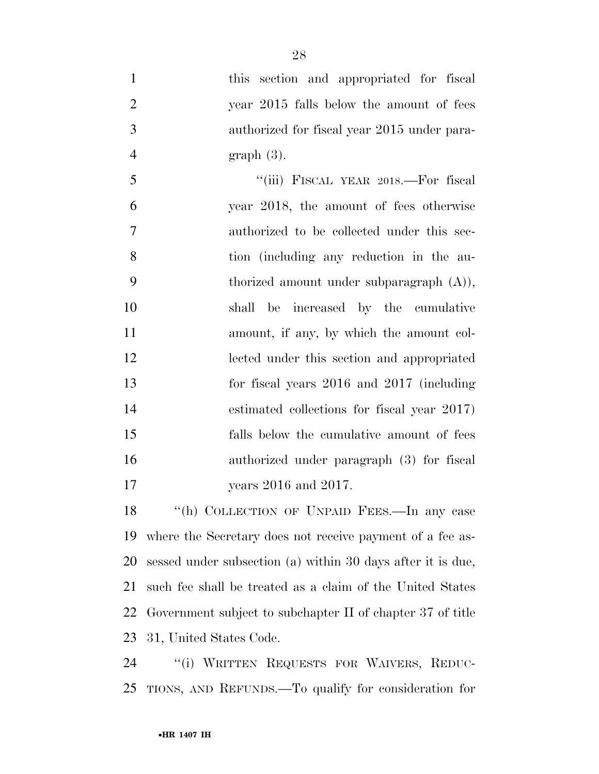this section and appropriated for fiscal year 2015 falls below the amount of fees authorized for fiscal year 2015 under para- graph (3). ''(iii) FISCAL YEAR 2018.—For fiscal year 2018, the amount of fees otherwise authorized to be collected under this sec- tion (including any reduction in the au- thorized amount under subparagraph (A)), shall be increased by the cumulative amount, if any, by which the amount col-

 estimated collections for fiscal year 2017) falls below the cumulative amount of fees authorized under paragraph (3) for fiscal 17 years 2016 and 2017.

lected under this section and appropriated

for fiscal years 2016 and 2017 (including

 ''(h) COLLECTION OF UNPAID FEES.—In any case where the Secretary does not receive payment of a fee as- sessed under subsection (a) within 30 days after it is due, such fee shall be treated as a claim of the United States Government subject to subchapter II of chapter 37 of title 31, United States Code.

 ''(i) WRITTEN REQUESTS FOR WAIVERS, REDUC-TIONS, AND REFUNDS.—To qualify for consideration for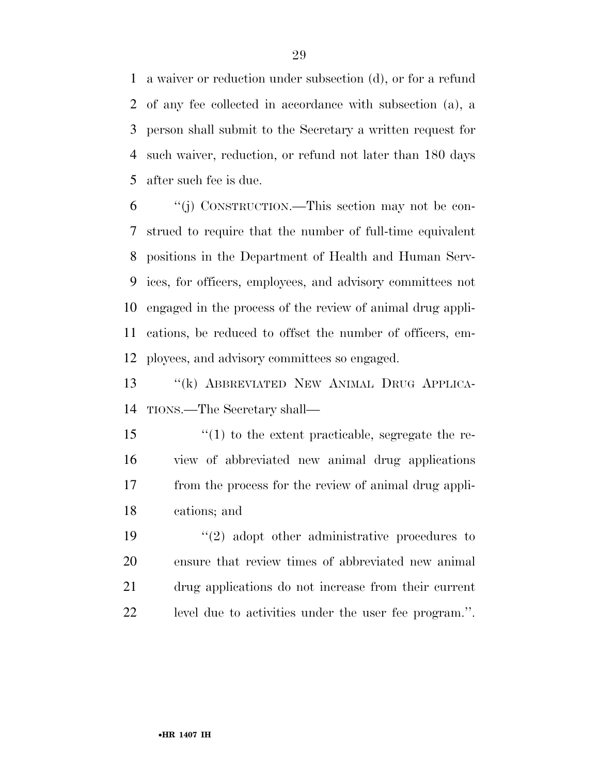a waiver or reduction under subsection (d), or for a refund of any fee collected in accordance with subsection (a), a person shall submit to the Secretary a written request for such waiver, reduction, or refund not later than 180 days after such fee is due.

 ''(j) CONSTRUCTION.—This section may not be con- strued to require that the number of full-time equivalent positions in the Department of Health and Human Serv- ices, for officers, employees, and advisory committees not engaged in the process of the review of animal drug appli- cations, be reduced to offset the number of officers, em-ployees, and advisory committees so engaged.

 ''(k) ABBREVIATED NEW ANIMAL DRUG APPLICA-TIONS.—The Secretary shall—

 ''(1) to the extent practicable, segregate the re- view of abbreviated new animal drug applications from the process for the review of animal drug appli-cations; and

 $\frac{1}{2}$  adopt other administrative procedures to ensure that review times of abbreviated new animal drug applications do not increase from their current level due to activities under the user fee program.''.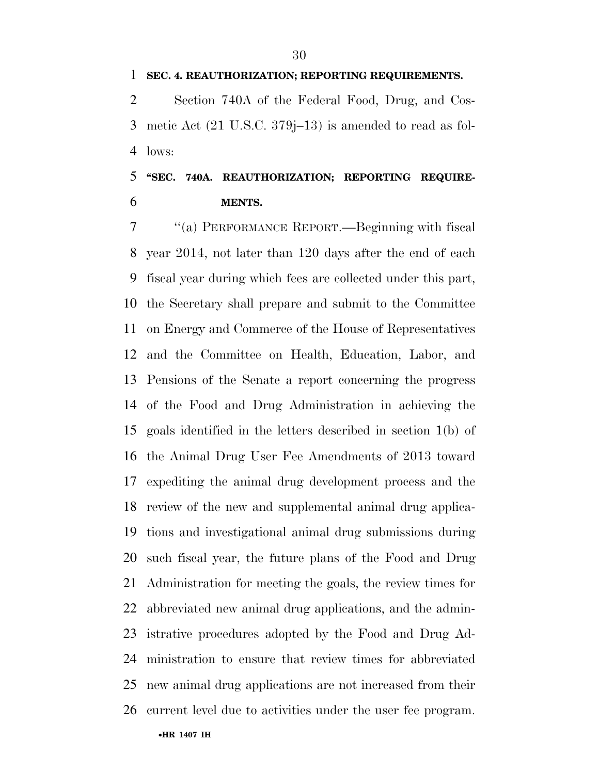**SEC. 4. REAUTHORIZATION; REPORTING REQUIREMENTS.** 

 Section 740A of the Federal Food, Drug, and Cos- metic Act (21 U.S.C. 379j–13) is amended to read as fol-lows:

## **''SEC. 740A. REAUTHORIZATION; REPORTING REQUIRE-MENTS.**

 ''(a) PERFORMANCE REPORT.—Beginning with fiscal year 2014, not later than 120 days after the end of each fiscal year during which fees are collected under this part, the Secretary shall prepare and submit to the Committee on Energy and Commerce of the House of Representatives and the Committee on Health, Education, Labor, and Pensions of the Senate a report concerning the progress of the Food and Drug Administration in achieving the goals identified in the letters described in section 1(b) of the Animal Drug User Fee Amendments of 2013 toward expediting the animal drug development process and the review of the new and supplemental animal drug applica- tions and investigational animal drug submissions during such fiscal year, the future plans of the Food and Drug Administration for meeting the goals, the review times for abbreviated new animal drug applications, and the admin- istrative procedures adopted by the Food and Drug Ad- ministration to ensure that review times for abbreviated new animal drug applications are not increased from their current level due to activities under the user fee program.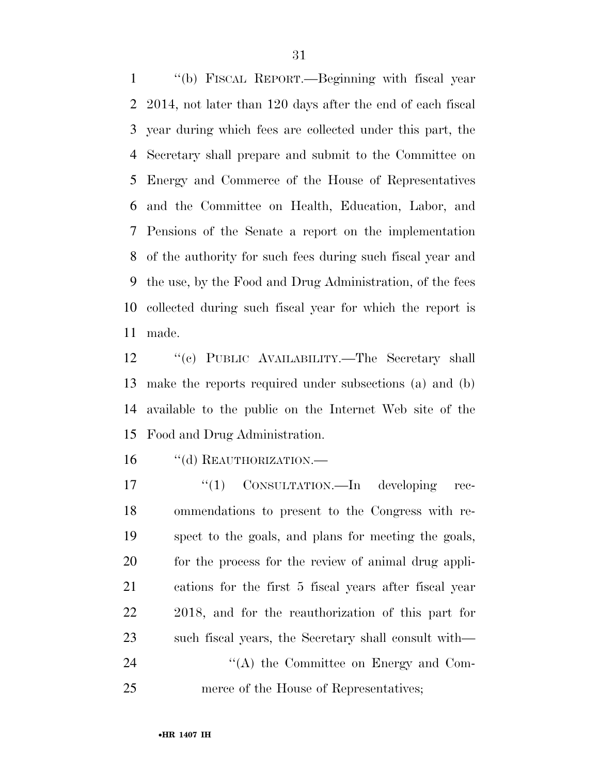''(b) FISCAL REPORT.—Beginning with fiscal year 2014, not later than 120 days after the end of each fiscal year during which fees are collected under this part, the Secretary shall prepare and submit to the Committee on Energy and Commerce of the House of Representatives and the Committee on Health, Education, Labor, and Pensions of the Senate a report on the implementation of the authority for such fees during such fiscal year and the use, by the Food and Drug Administration, of the fees collected during such fiscal year for which the report is made.

12 "(c) PUBLIC AVAILABILITY.—The Secretary shall make the reports required under subsections (a) and (b) available to the public on the Internet Web site of the Food and Drug Administration.

16 "(d) REAUTHORIZATION.—

 $\frac{17}{2}$  CONSULTATION.—In developing rec- ommendations to present to the Congress with re- spect to the goals, and plans for meeting the goals, for the process for the review of animal drug appli- cations for the first 5 fiscal years after fiscal year 2018, and for the reauthorization of this part for such fiscal years, the Secretary shall consult with—  $\cdot$  ''(A) the Committee on Energy and Com-merce of the House of Representatives;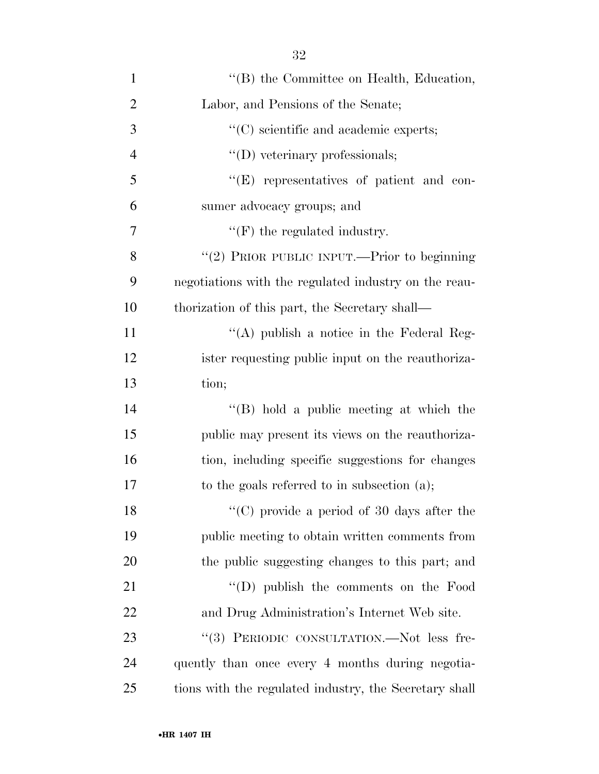| $\mathbf{1}$   | "(B) the Committee on Health, Education,               |
|----------------|--------------------------------------------------------|
| $\overline{2}$ | Labor, and Pensions of the Senate;                     |
| 3              | $\lq\lq$ (C) scientific and academic experts;          |
| $\overline{4}$ | $\lq\lq$ (D) veterinary professionals;                 |
| 5              | $\lq\lq(E)$ representatives of patient and con-        |
| 6              | sumer advocacy groups; and                             |
| $\overline{7}$ | $\lq\lq(F)$ the regulated industry.                    |
| 8              | "(2) PRIOR PUBLIC INPUT.—Prior to beginning            |
| 9              | negotiations with the regulated industry on the reau-  |
| 10             | thorization of this part, the Secretary shall—         |
| 11             | "(A) publish a notice in the Federal Reg-              |
| 12             | ister requesting public input on the reauthoriza-      |
| 13             | tion;                                                  |
| 14             | "(B) hold a public meeting at which the                |
| 15             | public may present its views on the reauthoriza-       |
| 16             | tion, including specific suggestions for changes       |
| 17             | to the goals referred to in subsection $(a)$ ;         |
| 18             | " $(C)$ provide a period of 30 days after the          |
| 19             | public meeting to obtain written comments from         |
| 20             | the public suggesting changes to this part; and        |
| 21             | $\lq\lq$ (D) publish the comments on the Food          |
| 22             | and Drug Administration's Internet Web site.           |
| 23             | "(3) PERIODIC CONSULTATION.—Not less fre-              |
| 24             | quently than once every 4 months during negotia-       |
| 25             | tions with the regulated industry, the Secretary shall |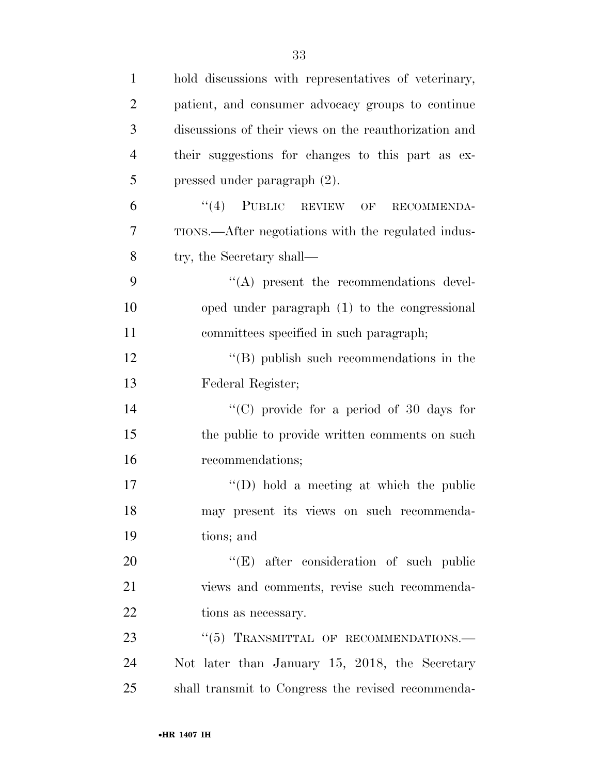| $\mathbf{1}$   | hold discussions with representatives of veterinary,  |
|----------------|-------------------------------------------------------|
| $\overline{2}$ | patient, and consumer advocacy groups to continue     |
| 3              | discussions of their views on the reauthorization and |
| $\overline{4}$ | their suggestions for changes to this part as ex-     |
| 5              | pressed under paragraph (2).                          |
| 6              | $``(4)$ PUBLIC REVIEW OF<br>RECOMMENDA-               |
| 7              | TIONS.—After negotiations with the regulated indus-   |
| $8\,$          | try, the Secretary shall—                             |
| 9              | $\lq\lq$ present the recommendations devel-           |
| 10             | oped under paragraph (1) to the congressional         |
| 11             | committees specified in such paragraph;               |
| 12             | $\lq\lq$ (B) publish such recommendations in the      |
| 13             | Federal Register;                                     |
| 14             | "(C) provide for a period of 30 days for              |
| 15             | the public to provide written comments on such        |
| 16             | recommendations;                                      |
| 17             | "(D) hold a meeting at which the public               |
| 18             | may present its views on such recommenda-             |
| 19             | tions; and                                            |
| 20             | $\lq\lq$ (E) after consideration of such public       |
| 21             | views and comments, revise such recommenda-           |
| 22             | tions as necessary.                                   |
| 23             | $``(5)$ TRANSMITTAL OF RECOMMENDATIONS.—              |
| 24             | Not later than January 15, 2018, the Secretary        |
| 25             | shall transmit to Congress the revised recommenda-    |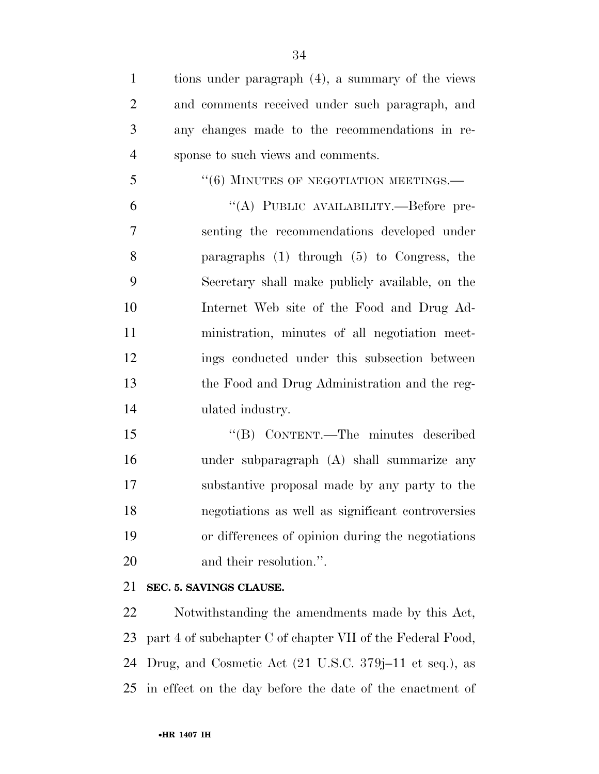| $\mathbf{1}$   | tions under paragraph (4), a summary of the views |
|----------------|---------------------------------------------------|
| $\overline{2}$ | and comments received under such paragraph, and   |
| 3              | any changes made to the recommendations in re-    |
| $\overline{4}$ | sponse to such views and comments.                |
| 5              | $``(6)$ MINUTES OF NEGOTIATION MEETINGS.—         |
| 6              | "(A) PUBLIC AVAILABILITY.--Before pre-            |
| 7              | senting the recommendations developed under       |
| 8              | paragraphs $(1)$ through $(5)$ to Congress, the   |
| 9              | Secretary shall make publicly available, on the   |
| 10             | Internet Web site of the Food and Drug Ad-        |
| 11             | ministration, minutes of all negotiation meet-    |
| 12             | ings conducted under this subsection between      |
| 13             | the Food and Drug Administration and the reg-     |
| 14             | ulated industry.                                  |
| 15             | "(B) CONTENT.—The minutes described               |
| 16             | under subparagraph (A) shall summarize any        |
| 17             | substantive proposal made by any party to the     |
| 18             | negotiations as well as significant controversies |
| 19             | or differences of opinion during the negotiations |

20 and their resolution.".

#### **SEC. 5. SAVINGS CLAUSE.**

 Notwithstanding the amendments made by this Act, part 4 of subchapter C of chapter VII of the Federal Food, Drug, and Cosmetic Act (21 U.S.C. 379j–11 et seq.), as in effect on the day before the date of the enactment of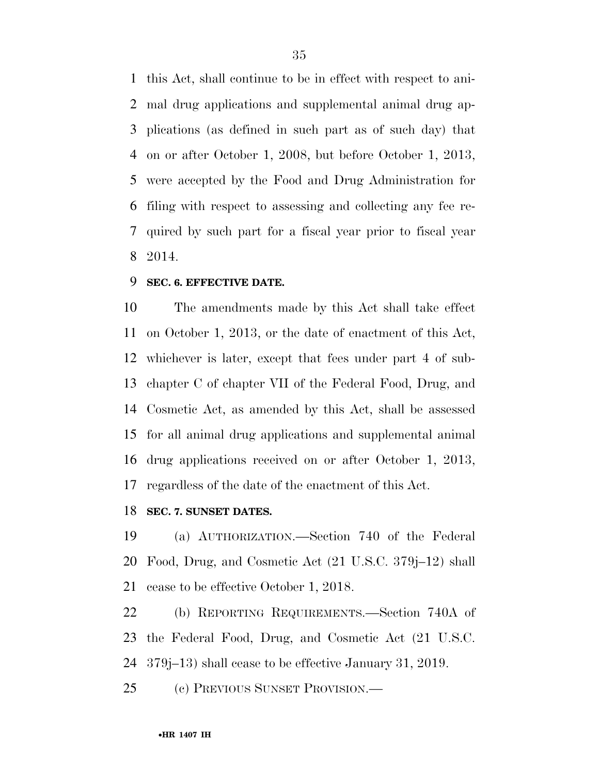this Act, shall continue to be in effect with respect to ani- mal drug applications and supplemental animal drug ap- plications (as defined in such part as of such day) that on or after October 1, 2008, but before October 1, 2013, were accepted by the Food and Drug Administration for filing with respect to assessing and collecting any fee re- quired by such part for a fiscal year prior to fiscal year 2014.

#### **SEC. 6. EFFECTIVE DATE.**

 The amendments made by this Act shall take effect on October 1, 2013, or the date of enactment of this Act, whichever is later, except that fees under part 4 of sub- chapter C of chapter VII of the Federal Food, Drug, and Cosmetic Act, as amended by this Act, shall be assessed for all animal drug applications and supplemental animal drug applications received on or after October 1, 2013, regardless of the date of the enactment of this Act.

#### **SEC. 7. SUNSET DATES.**

 (a) AUTHORIZATION.—Section 740 of the Federal Food, Drug, and Cosmetic Act (21 U.S.C. 379j–12) shall cease to be effective October 1, 2018.

 (b) REPORTING REQUIREMENTS.—Section 740A of the Federal Food, Drug, and Cosmetic Act (21 U.S.C. 379j–13) shall cease to be effective January 31, 2019.

(c) PREVIOUS SUNSET PROVISION.—